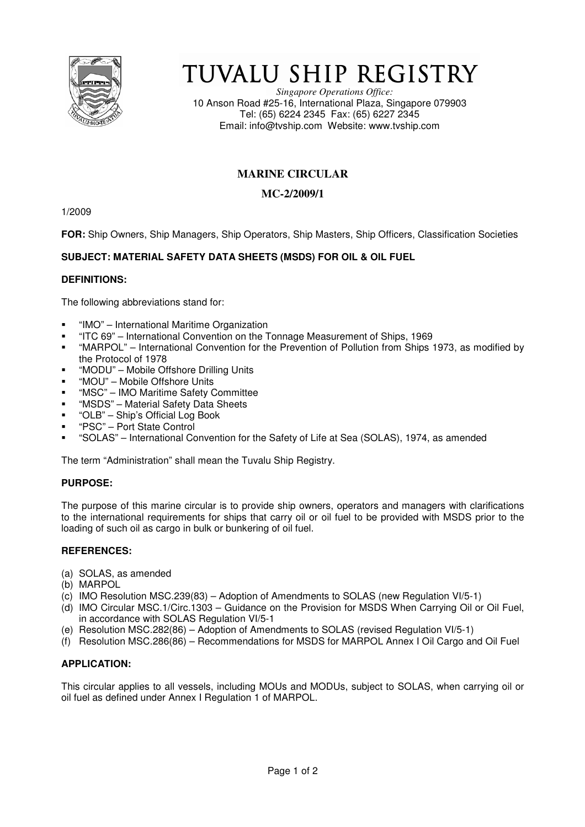

# TUVALU SHIP REGISTRY

*Singapore Operations Office:* 10 Anson Road #25-16, International Plaza, Singapore 079903 Tel: (65) 6224 2345 Fax: (65) 6227 2345 Email: info@tvship.com Website: www.tvship.com

## **MARINE CIRCULAR**

## **MC-2/2009/1**

1/2009

**FOR:** Ship Owners, Ship Managers, Ship Operators, Ship Masters, Ship Officers, Classification Societies

## **SUBJECT: MATERIAL SAFETY DATA SHEETS (MSDS) FOR OIL & OIL FUEL**

#### **DEFINITIONS:**

The following abbreviations stand for:

- "IMO" International Maritime Organization
- "ITC 69" International Convention on the Tonnage Measurement of Ships, 1969
- "MARPOL" International Convention for the Prevention of Pollution from Ships 1973, as modified by the Protocol of 1978
- "MODU" Mobile Offshore Drilling Units
- "MOU" Mobile Offshore Units
- "MSC" IMO Maritime Safety Committee
- "MSDS" Material Safety Data Sheets
- "OLB" Ship's Official Log Book
- "PSC" Port State Control
- "SOLAS" International Convention for the Safety of Life at Sea (SOLAS), 1974, as amended

The term "Administration" shall mean the Tuvalu Ship Registry.

## **PURPOSE:**

The purpose of this marine circular is to provide ship owners, operators and managers with clarifications to the international requirements for ships that carry oil or oil fuel to be provided with MSDS prior to the loading of such oil as cargo in bulk or bunkering of oil fuel.

#### **REFERENCES:**

- (a) SOLAS, as amended
- (b) MARPOL
- (c) IMO Resolution MSC.239(83) Adoption of Amendments to SOLAS (new Regulation VI/5-1)
- (d) IMO Circular MSC.1/Circ.1303 Guidance on the Provision for MSDS When Carrying Oil or Oil Fuel, in accordance with SOLAS Regulation VI/5-1
- (e) Resolution MSC.282(86) Adoption of Amendments to SOLAS (revised Regulation VI/5-1)
- (f) Resolution MSC.286(86) Recommendations for MSDS for MARPOL Annex I Oil Cargo and Oil Fuel

## **APPLICATION:**

This circular applies to all vessels, including MOUs and MODUs, subject to SOLAS, when carrying oil or oil fuel as defined under Annex I Regulation 1 of MARPOL.